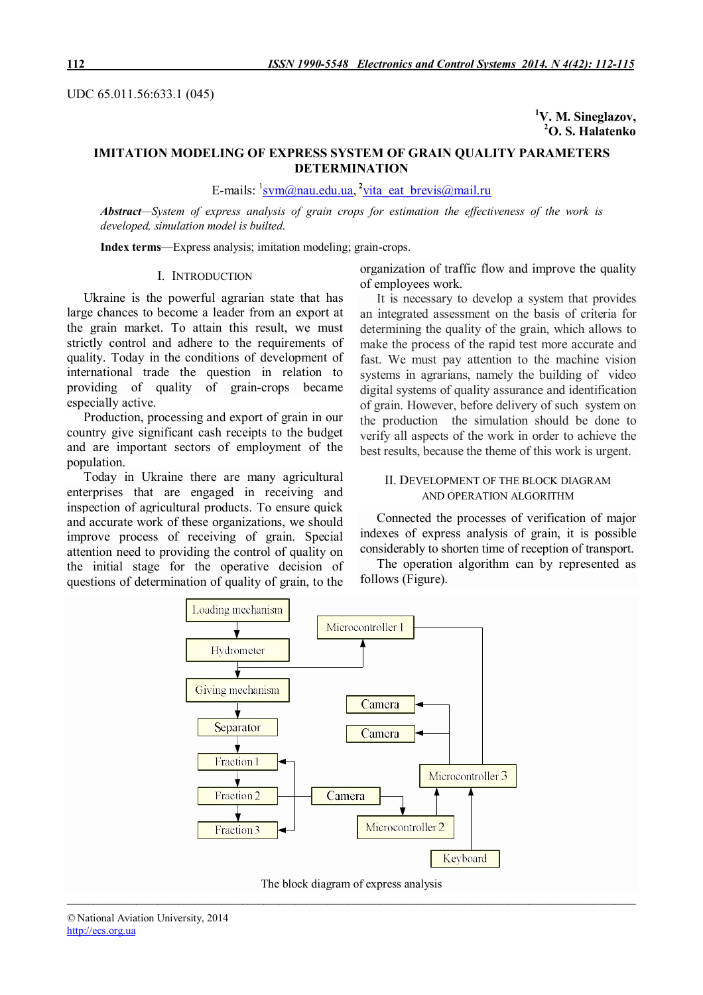UDC 65.011.56:633.1 (045)

**<sup>1</sup>V. M. Sineglazov, <sup>2</sup>O. S. Halatenko**

# **IMITATION MODELING OF EXPRESS SYSTEM OF GRAIN QUALITY PARAMETERS DETERMINATION**

E-mails: <sup>1</sup>svm@nau.edu.ua, <sup>2</sup>vita\_eat\_brevis@mail.ru

*Abstract—System of express analysis of grain crops for estimation the effectiveness of the work is developed, simulation model is builted.*

**Index terms**—Express analysis; imitation modeling; grain-crops.

### I. INTRODUCTION

Ukraine is the powerful agrarian state that has large chances to become a leader from an export at the grain market. To attain this result, we must strictly control and adhere to the requirements of quality. Today in the conditions of development of international trade the question in relation to providing of quality of grain-crops became especially active.

Production, processing and export of grain in our country give significant cash receipts to the budget and are important sectors of employment of the population.

Today in Ukraine there are many agricultural enterprises that are engaged in receiving and inspection of agricultural products. To ensure quick and accurate work of these organizations, we should improve process of receiving of grain. Special attention need to providing the control of quality on the initial stage for the operative decision of questions of determination of quality of grain, to the

organization of traffic flow and improve the quality of employees work.

It is necessary to develop a system that provides an integrated assessment on the basis of criteria for determining the quality of the grain, which allows to make the process of the rapid test more accurate and fast. We must pay attention to the machine vision systems in agrarians, namely the building of video digital systems of quality assurance and identification of grain. However, before delivery of such system on the production the simulation should be done to verify all aspects of the work in order to achieve the best results, because the theme of this work is urgent.

## II. DEVELOPMENT OF THE BLOCK DIAGRAM AND OPERATION ALGORITHM

Connected the processes of verification of major indexes of express analysis of grain, it is possible considerably to shorten time of reception of transport.

The operation algorithm can by represented as follows (Figure).



*\_\_\_\_\_\_\_\_\_\_\_\_\_\_\_\_\_\_\_\_\_\_\_\_\_\_\_\_\_\_\_\_\_\_\_\_\_\_\_\_\_\_\_\_\_\_\_\_\_\_\_\_\_\_\_\_\_\_\_\_\_\_\_\_\_\_\_\_\_\_\_\_\_\_\_\_\_\_\_\_\_\_\_\_\_\_\_\_\_\_\_\_\_\_\_\_\_\_\_\_\_\_\_\_\_\_\_* The block diagram of express analysis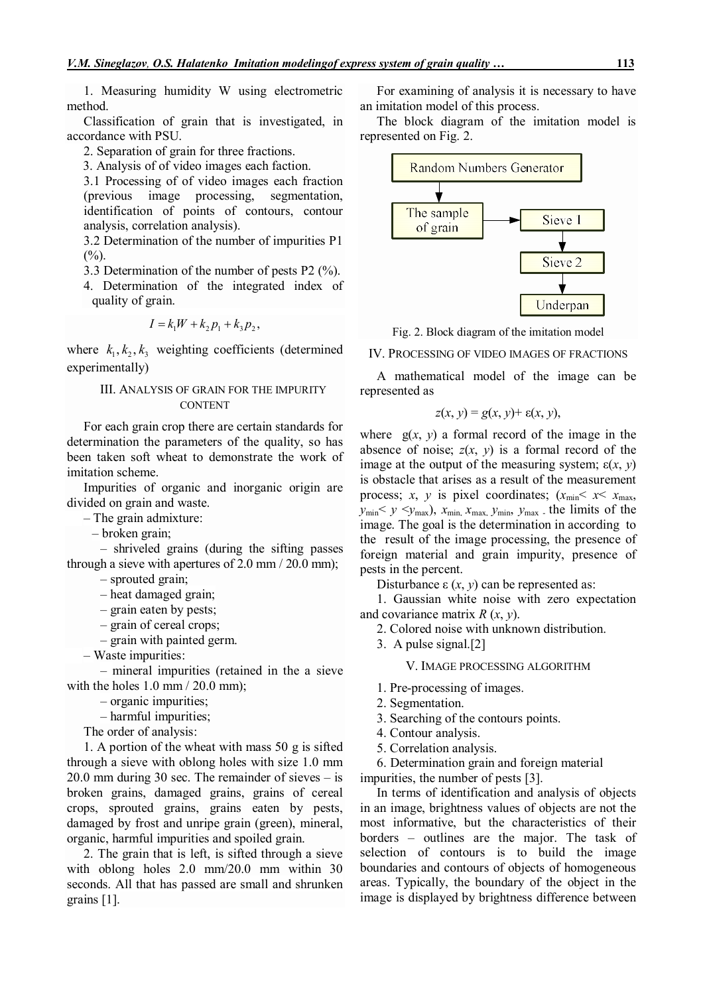1. Measuring humidity W using electrometric method.

Classification of grain that is investigated, in accordance with PSU.

2. Separation of grain for three fractions.

3. Analysis of of video images each faction.

3.1 Processing of of video images each fraction (previous image processing, segmentation, identification of points of contours, contour analysis, correlation analysis).

3.2 Determination of the number of impurities P1  $(% )$ 

3.3 Determination of the number of pests P2 (%).

4. Determination of the integrated index of quality of grain.

$$
I = k_1 W + k_2 p_1 + k_3 p_2,
$$

where  $k_1, k_2, k_3$  weighting coefficients (determined experimentally)

## III. ANALYSIS OF GRAIN FOR THE IMPURITY CONTENT

For each grain crop there are certain standards for determination the parameters of the quality, so has been taken soft wheat to demonstrate the work of imitation scheme.

Impurities of organic and inorganic origin are divided on grain and waste.

– The grain admixture:

– broken grain;

– shriveled grains (during the sifting passes through a sieve with apertures of 2.0 mm / 20.0 mm);

– sprouted grain;

– heat damaged grain;

– grain eaten by pests;

– grain of cereal crops;

– grain with painted germ.

– Waste impurities:

– mineral impurities (retained in the a sieve with the holes  $1.0 \text{ mm} / 20.0 \text{ mm}$ ;

– organic impurities;

– harmful impurities;

The order of analysis:

1. A portion of the wheat with mass 50 g is sifted through a sieve with oblong holes with size 1.0 mm 20.0 mm during 30 sec. The remainder of sieves – is broken grains, damaged grains, grains of cereal crops, sprouted grains, grains eaten by pests, damaged by frost and unripe grain (green), mineral, organic, harmful impurities and spoiled grain.

2. The grain that is left, is sifted through a sieve with oblong holes 2.0 mm/20.0 mm within 30 seconds. All that has passed are small and shrunken grains [1].

For examining of analysis it is necessary to have an imitation model of this process.

The block diagram of the imitation model is represented on Fig. 2.



Fig. 2. Block diagram of the imitation model

IV. PROCESSING OF VIDEO IMAGES OF FRACTIONS

A mathematical model of the image can be represented as

$$
z(x, y) = g(x, y) + \varepsilon(x, y),
$$

where  $g(x, y)$  a formal record of the image in the absence of noise;  $z(x, y)$  is a formal record of the image at the output of the measuring system;  $\varepsilon(x, y)$ is obstacle that arises as a result of the measurement process; *x*, *y* is pixel coordinates;  $(x_{\text{min}} < x < x_{\text{max}})$  $y_{\text{min}} < y \leq y_{\text{max}}$ ,  $x_{\text{min}}$ ,  $x_{\text{max}}$ ,  $y_{\text{min}}$ ,  $y_{\text{max}}$ , the limits of the image. The goal is the determination in according to the result of the image processing, the presence of foreign material and grain impurity, presence of pests in the percent.

Disturbance  $ε(x, y)$  can be represented as:

1. Gaussian white noise with zero expectation and covariance matrix *R* (*x*, *y*).

2. Colored noise with unknown distribution.

3. A pulse signal.[2]

V. IMAGE PROCESSING ALGORITHM

- 1. Pre-processing of images.
- 2. Segmentation.
- 3. Searching of the contours points.
- 4. Contour analysis.
- 5. Correlation analysis.

6. Determination grain and foreign material impurities, the number of pests [3].

In terms of identification and analysis of objects in an image, brightness values of objects are not the most informative, but the characteristics of their borders – outlines are the major. The task of selection of contours is to build the image boundaries and contours of objects of homogeneous areas. Typically, the boundary of the object in the image is displayed by brightness difference between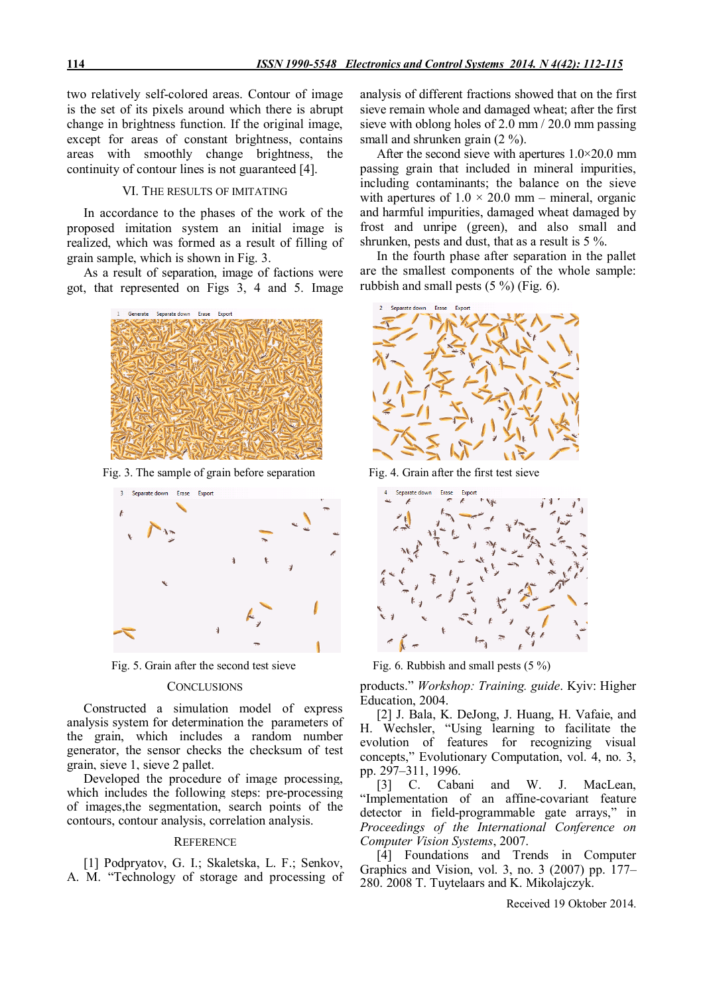two relatively self-colored areas. Contour of image is the set of its pixels around which there is abrupt change in brightness function. If the original image, except for areas of constant brightness, contains areas with smoothly change brightness, the continuity of contour lines is not guaranteed [4].

### VI. THE RESULTS OF IMITATING

In accordance to the phases of the work of the proposed imitation system an initial image is realized, which was formed as a result of filling of grain sample, which is shown in Fig. 3.

As a result of separation, image of factions were got, that represented on Figs 3, 4 and 5. Image



Fig. 3. The sample of grain before separation Fig. 4. Grain after the first test sieve



### **CONCLUSIONS**

Constructed a simulation model of express analysis system for determination the parameters of the grain, which includes a random number generator, the sensor checks the checksum of test grain, sieve 1, sieve 2 pallet.

Developed the procedure of image processing, which includes the following steps: pre-processing of images,the segmentation, search points of the contours, contour analysis, correlation analysis.

#### **REFERENCE**

[1] Podpryatov, G. I.; Skaletska, L. F.; Senkov, A. M. "Technology of storage and processing of analysis of different fractions showed that on the first sieve remain whole and damaged wheat; after the first sieve with oblong holes of 2.0 mm / 20.0 mm passing small and shrunken grain (2 %).

After the second sieve with apertures 1.0×20.0 mm passing grain that included in mineral impurities, including contaminants; the balance on the sieve with apertures of  $1.0 \times 20.0$  mm – mineral, organic and harmful impurities, damaged wheat damaged by frost and unripe (green), and also small and shrunken, pests and dust, that as a result is 5 %.

In the fourth phase after separation in the pallet are the smallest components of the whole sample: rubbish and small pests (5 %) (Fig. 6).





Fig. 5. Grain after the second test sieve Fig. 6. Rubbish and small pests (5 %)

products." *Workshop: Training. guide*. Kyiv: Higher Education, 2004.

[2] J. Bala, K. DeJong, J. Huang, H. Vafaie, and H. Wechsler, "Using learning to facilitate the evolution of features for recognizing visual concepts," Evolutionary Computation, vol. 4, no. 3, pp. 297–311, 1996.

[3] C. Cabani and W. J. MacLean, "Implementation of an affine-covariant feature detector in field-programmable gate arrays," in *Proceedings of the International Conference on Computer Vision Systems*, 2007.

[4] Foundations and Trends in Computer Graphics and Vision, vol. 3, no. 3 (2007) pp. 177– 280. 2008 T. Tuytelaars and K. Mikolajczyk.

Received 19 Oktober 2014.